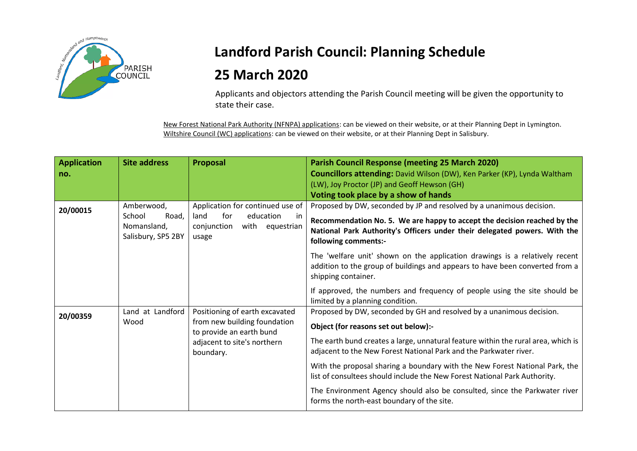

## **Landford Parish Council: Planning Schedule 25 March 2020**

Applicants and objectors attending the Parish Council meeting will be given the opportunity to state their case.

New Forest National Park Authority (NFNPA) applications: can be viewed on their website, or at their Planning Dept in Lymington. Wiltshire Council (WC) applications: can be viewed on their website, or at their Planning Dept in Salisbury.

| <b>Application</b><br>no. | <b>Site address</b>                                                | Proposal                                                                                                                               | <b>Parish Council Response (meeting 25 March 2020)</b><br><b>Councillors attending:</b> David Wilson (DW), Ken Parker (KP), Lynda Waltham<br>(LW), Joy Proctor (JP) and Geoff Hewson (GH)                                                                              |
|---------------------------|--------------------------------------------------------------------|----------------------------------------------------------------------------------------------------------------------------------------|------------------------------------------------------------------------------------------------------------------------------------------------------------------------------------------------------------------------------------------------------------------------|
|                           |                                                                    |                                                                                                                                        | Voting took place by a show of hands                                                                                                                                                                                                                                   |
| 20/00015                  | Amberwood,<br>School<br>Road,<br>Nomansland,<br>Salisbury, SP5 2BY | Application for continued use of<br>education<br>land<br>for<br>-in<br>conjunction<br>with equestrian<br>usage                         | Proposed by DW, seconded by JP and resolved by a unanimous decision.<br>Recommendation No. 5. We are happy to accept the decision reached by the<br>National Park Authority's Officers under their delegated powers. With the<br>following comments:-                  |
|                           |                                                                    |                                                                                                                                        | The 'welfare unit' shown on the application drawings is a relatively recent<br>addition to the group of buildings and appears to have been converted from a<br>shipping container.                                                                                     |
|                           |                                                                    |                                                                                                                                        | If approved, the numbers and frequency of people using the site should be<br>limited by a planning condition.                                                                                                                                                          |
| 20/00359                  | Land at Landford<br>Wood                                           | Positioning of earth excavated<br>from new building foundation<br>to provide an earth bund<br>adjacent to site's northern<br>boundary. | Proposed by DW, seconded by GH and resolved by a unanimous decision.<br>Object (for reasons set out below):-<br>The earth bund creates a large, unnatural feature within the rural area, which is<br>adjacent to the New Forest National Park and the Parkwater river. |
|                           |                                                                    |                                                                                                                                        | With the proposal sharing a boundary with the New Forest National Park, the<br>list of consultees should include the New Forest National Park Authority.                                                                                                               |
|                           |                                                                    |                                                                                                                                        | The Environment Agency should also be consulted, since the Parkwater river<br>forms the north-east boundary of the site.                                                                                                                                               |